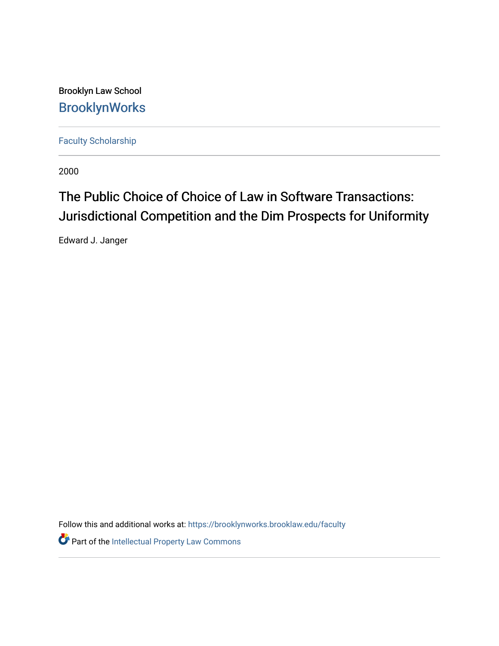Brooklyn Law School **BrooklynWorks** 

[Faculty Scholarship](https://brooklynworks.brooklaw.edu/faculty)

2000

# The Public Choice of Choice of Law in Software Transactions: Jurisdictional Competition and the Dim Prospects for Uniformity

Edward J. Janger

Follow this and additional works at: [https://brooklynworks.brooklaw.edu/faculty](https://brooklynworks.brooklaw.edu/faculty?utm_source=brooklynworks.brooklaw.edu%2Ffaculty%2F1160&utm_medium=PDF&utm_campaign=PDFCoverPages)

**Part of the Intellectual Property Law Commons**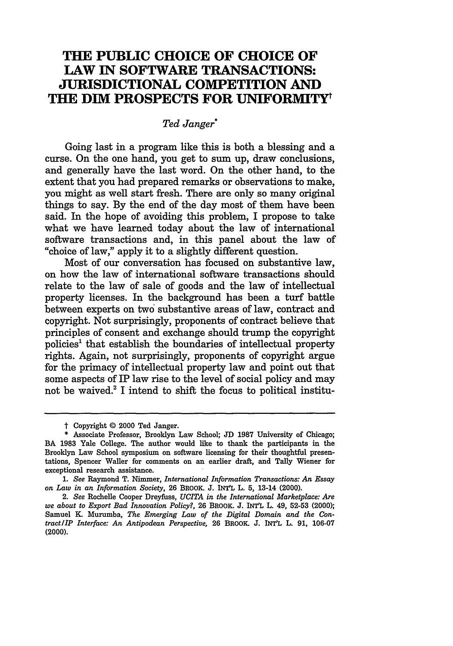## **THE PUBLIC CHOICE OF CHOICE OF LAW IN SOFTWARE TRANSACTIONS: JURISDICTIONAL COMPETITION AND THE DIM PROSPECTS FOR UNIFORMITY**

## *Ted Janger*

Going last in a program like this is both a blessing and a curse. On the one hand, you get to sum up, draw conclusions, and generally have the last word. On the other hand, to the extent that you had prepared remarks or observations to make, you might as well start fresh. There are only so many original things to say. **By** the end of the day most of them have been said. In the hope of avoiding this problem, I propose to take what we have learned today about the law of international software transactions and, in this panel about the law of "choice of law," apply it to a slightly different question.

Most of our conversation has focused on substantive law, on how the law of international software transactions should relate to the law of sale of goods and the law of intellectual property licenses. In the background has been a turf battle between experts on two substantive areas of law, contract and copyright. Not surprisingly, proponents of contract believe that principles of consent and exchange should trump the copyright policies<sup>1</sup> that establish the boundaries of intellectual property rights. Again, not surprisingly, proponents of copyright argue for the primacy of intellectual property law and point out that some aspects of IP law rise to the level of social policy and may not be waived.2 I intend to shift the focus to political institu-

t Copyright © 2000 Ted Janger.

<sup>\*</sup> Associate Professor, Brooklyn Law School; JD 1987 University of Chicago; BA 1983 Yale College. The author would like to thank the participants in the Brooklyn Law School symposium on software licensing for their thoughtful presentations, Spencer Waller for comments on an earlier draft, and Tally Wiener for exceptional research assistance.

*<sup>1.</sup> See* Raymond T. Nimmer, *International Information Transactions: An Essay on Law in an Information Society,* 26 BROOK. J. INT'L L. **5,** 13-14 (2000).

<sup>2.</sup> *See* Rochelle Cooper Dreyfuss, *UCITA in the International Marketplace: Are we about to Export Bad Innovation Policy?,* 26 BROOK. J. **INTL** L. 49, **52-53** (2000); Samuel **K.** Murumba, *The Emerging Law of the Digital Domain and the Contract/IP Interface: An Antipodean Perspective,* 26 BROOK. J. INTL L. 91, 106-07 (2000).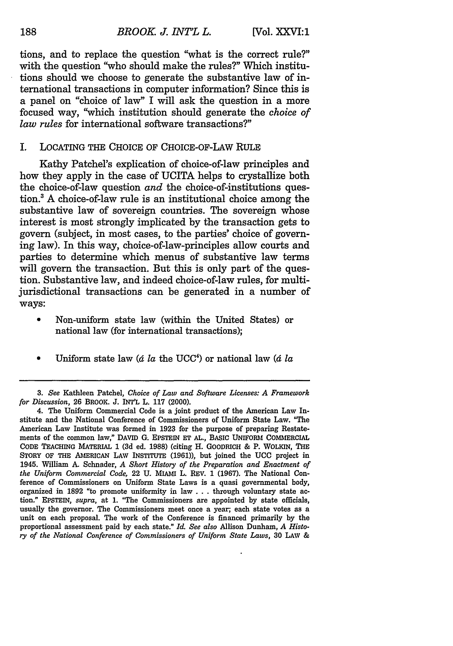tions, and to replace the question "what is the correct rule?" with the question "who should make the rules?" Which institutions should we choose to generate the substantive law of international transactions in computer information? Since this is a panel on "choice of law" I will ask the question in a more focused way, "which institution should generate the *choice of law rules* for international software transactions?"

## I. LOCATING THE CHOICE OF CHOICE-OF-LAW RULE

Kathy Patchel's explication of choice-of-law principles and how they apply in the case of UCITA helps to crystallize both the choice-of-law question *and* the choice-of-institutions question.' A choice-of-law rule is an institutional choice among the substantive law of sovereign countries. The sovereign whose interest is most strongly implicated by the transaction gets to govern (subject, in most cases, to the parties' choice of governing law). In this way, choice-of-law-principles allow courts and parties to determine which menus of substantive law terms will govern the transaction. But this is only part of the question. Substantive law, and indeed choice-of-law rules, for multijurisdictional transactions can be generated in a number of ways:

- Non-uniform state law (within the United States) or national law (for international transactions);
- **"** Uniform state law *(d la* the UCC4) or national law *(d la*

3. *See* Kathleen Patchel, *Choice of Law and Software Licenses: A Framework for Discussion,* 26 BROOK. *J.* INT'L L. 117 (2000).

4. The Uniform Commercial Code is a joint product of the American Law Institute and the National Conference of Commissioners of Uniform State Law. "The American Law Institute was formed in 1923 for the purpose of preparing Restatements of the common law," DAVID **G.** EPSTEIN **ET AL.,** BASIC UNIFORI COMMERCIAL **CODE** TEACHING MATERIAL **1 (3d** ed. **1988)** (citing H. GOODRICH **&** P. WOLKIN, THE STORY OF **THE AMERICAN LAW** INSTITUTE **(1961)),** but joined the **UCC** project in 1945. William A. Schnader, *A Short History of the Preparation and Enactment of the Uniform Commercial Code,* 22 U. MIAMI L. REV. 1 (1967). The National Conference of Commissioners on Uniform State Laws is a quasi governmental body, organized in 1892 "to promote uniformity in law . **..** through voluntary state action." EPSTEIN, *supra,* at 1. 'The Commissioners are appointed by state officials, usually the governor. The Commissioners meet once a year; each state votes as a unit on each proposal. The work of the Conference is financed primarily by the proportional assessment paid by each state." *Id. See also* Allison Dunham, *A History of the National Conference of Commissioners of Uniform State Laws,* 30 LAW &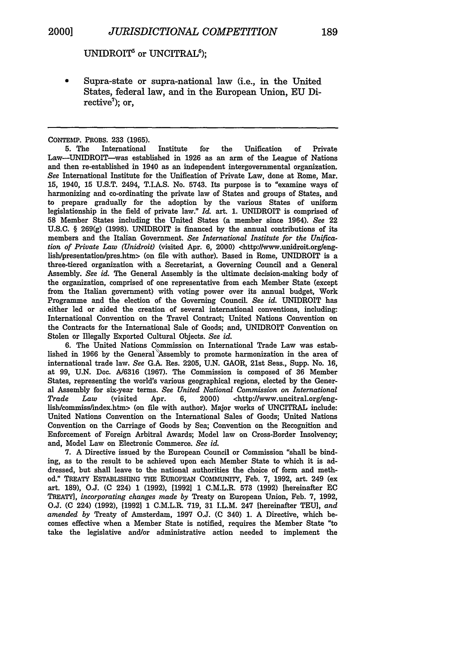UNIDROIT5 or **UNCITRAL6 );**

**0** Supra-state or supra-national law (i.e., in the United States, federal law, and in the European Union, EU Directive<sup>7</sup>); or,

CONTEMP. PROBS. **233 (1965).**

**5.** The International Institute for the Unification of Private Law-UNIDROIT-was established in 1926 as an arm of the League of Nations and then re-established in 1940 as an independent intergovernmental organization. *See* International Institute for the Unification of Private Law, done at Rome, Mar. **15,** 1940, 15 U.S.T. 2494, T.I.A.S. No. 5743. Its purpose is to "examine ways of harmonizing and co-ordinating the private law of States and groups of States, and to prepare gradually for the adoption by the various States of uniform legislationship in the field of private law." *Id* art. 1. UNIDROIT is comprised of **58** Member States including the United States (a member since 1964). *See* 22 U.S.C. § 269 $(g)$  (1998). UNIDROIT is financed by the annual contributions of its members and the Italian Government. *See International Institute for the Unification of Private Law (Unidroit)* (visited Apr. 6, 2000) <http:/www.unidroit.org/english/presentation/pres.htm> (on file with author). Based in Rome, UNIDROIT is a three-tiered organization with a Secretariat, a Governing Council and a General Assembly. *See id.* The General Assembly is the ultimate decision-making body of the organization, comprised of one representative from each Member State (except from the Italian government) with voting power over its annual budget, Work Programme and the election of the Governing Council. *See id.* UNIDROIT has either led or aided the creation of several international conventions, including: International Convention on the Travel Contract; United Nations Convention on the Contracts for the International Sale of Goods; and, UNIDROIT Convention on Stolen or Illegally Exported Cultural Objects. *See id.*

6. The United Nations Commission on International Trade Law was established in 1966 by the Goneral Assembly to promote harmonization in the area of international trade law. *See* **G.A.** Res. 2205, U.N. GAOR, 21st Sess., Supp. No. **16,** at 99, U.N. Doe. A16316 (1967). The Commission is composed of 36 Member States, representing the world's various geographical regions, elected by the General Assembly for six-year terms. *See United National Commission on International Trade Law* (visited Apr. 6, 2000) <http://www.uncitral.org/english/commiss/index.htm> (on file with author). Major works of UNCITRAL include: United Nations Convention on the International Sales of Goods; United Nations Convention on the Carriage of Goods by Sea; Convention on the Recognition and Enforcement of Foreign Arbitral Awards; Model law on Cross-Border Insolvency; and, Model Law on Electronic Commerce. *See id.*

7. A Directive issued by the European Council or Commission "shall be binding, as to the result to be achieved upon each Member State to which it is addressed, but shall leave to the national authorities the choice of form and method." TREATY ESTABLISHING THE EUROPEAN COMMUNITY, Feb. 7, 1992, art. 249 (ex art. **189), O.J. (C** 224) **1 (1992), [1992] 1** C.M.L.R. **573 (1992)** [hereinafter **EC** TREATY], *incorporating changes made by* Treaty on European Union, Feb. **7, 1992, O.J. (C** 224) **(1992), [19921 1** C.M.L.R. **719, 31** I.L.M. 247 [hereinafter **TEU],** *and amended by* Treaty of Amsterdam, **1997 O.J. (C** 340) **1.** A Directive, which becomes effective when a Member State is notified, requires the Member State "to take the legislative and/or administrative action needed to implement the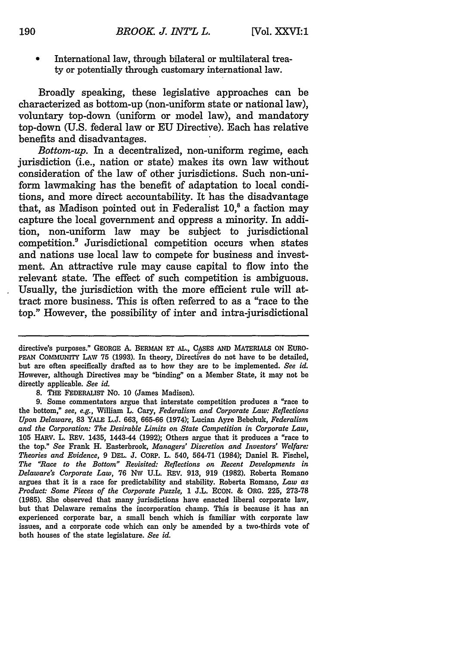International law, through bilateral or multilateral treaty or potentially through customary international law.

Broadly speaking, these legislative approaches can be characterized as bottom-up (non-uniform state or national law), voluntary top-down (uniform or model law), and mandatory top-down (U.S. federal law or EU Directive). Each has relative benefits and disadvantages.

*Bottom-up.* In a decentralized, non-uniform regime, each jurisdiction (i.e., nation or state) makes its own law without consideration of the law of other jurisdictions. Such non-uniform lawmaking has the benefit of adaptation to local conditions, and more direct accountability. It has the disadvantage that, as Madison pointed out in Federalist  $10<sup>8</sup>$  a faction may capture the local government and oppress a minority. In addition, non-uniform law may be subject to jurisdictional competition.' Jurisdictional competition occurs when states and nations use local law to compete for business and investment. An attractive rule may cause capital to flow into the relevant state. The effect of such competition is ambiguous. Usually, the jurisdiction with the more efficient rule will attract more business. This is often referred to as a "race to the top." However, the possibility of inter and intra-jurisdictional

**8. THE** FEDERALIST **NO. 10** (James Madison).

directive's purposes." GEORGE A. **BERMAN** ET AL., **CASES AND** MATERIALS ON EURO-**PEAN** COMiMUNITY LAW **75 (1993).** In theory, Directives do not have to **be** detailed, but are often specifically drafted as to how they are to be implemented. *See id.* However, although Directives may be "binding" on a Member State, it may not be directly applicable. *See id.*

**<sup>9.</sup>** Some commentators argue that interstate competition produces a "race to the bottom," see, e.g., William L. Cary, *Federalism and Corporate Law: Reflections Upon Delaware,* 83 YALE L.J. 663, 665-66 (1974); Lucian Ayre Bebchuk, *Federalism and the Corporation: The Desirable Limits on State Competition in Corporate Law,* 105 HARV. L. REV. 1435, 1443-44 (1992); Others argue that it produces a "race to the top." *See* Frank H. Easterbrook, *Managers' Discretion and Investors' Welfare: Theories and Evidence,* 9 DEL. J. CORP. L. 540, 564-71 (1984); Daniel R. Fischel, *The "Race to the Bottom" Revisited: Reflections on Recent Developments in Delaware's Corporate Law,* 76 NW U.L. REV. 913, 919 (1982). Roberta Romano argues that it is a race for predictability and stability. Roberta Romano, *Law as Product: Some Pieces of the Corporate Puzzle,* 1 J.L. **ECON.** & ORG. 225, 273-78 **(1985).** She observed that many jurisdictions have enacted liberal corporate law, but that Delaware remains the incorporation champ. This is because it has an experienced corporate bar, a small bench which is familiar with corporate law issues, and a corporate code which can only be amended by a two-thirds vote of both houses of the state legislature. *See id.*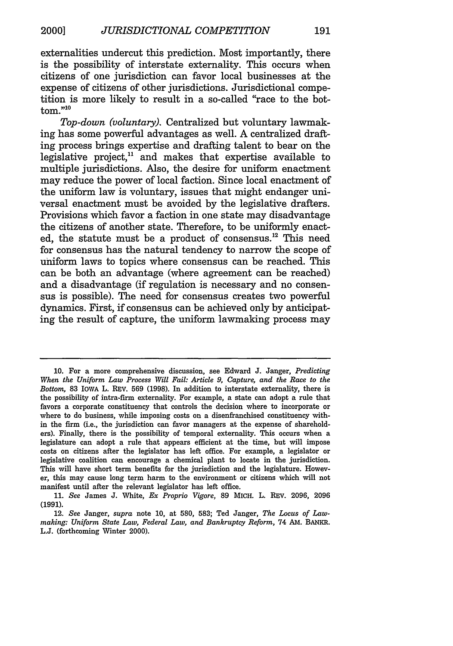externalities undercut this prediction. Most importantly, there is the possibility of interstate externality. This occurs when citizens of one jurisdiction can favor local businesses at the expense of citizens of other jurisdictions. Jurisdictional competition is more likely to result in a so-called "race to the bot $t$ <sub>tom</sub>."<sup>10</sup>

*Top-down (voluntary).* Centralized but voluntary lawmaking has some powerful advantages as well. **A** centralized drafting process brings expertise and drafting talent to bear on the legislative project,<sup>11</sup> and makes that expertise available to multiple jurisdictions. Also, the desire for uniform enactment may reduce the power of local faction. Since local enactment of the uniform law is voluntary, issues that might endanger universal enactment must be avoided **by** the legislative drafters. Provisions which favor a faction in one state may disadvantage the citizens of another state. Therefore, to be uniformly enacted, the statute must be a product of consensus.<sup>12</sup> This need for consensus has the natural tendency to narrow the scope of uniform laws to topics where consensus can be reached. This can be both an advantage (where agreement can be reached) and a disadvantage (if regulation is necessary and no consensus is possible). The need for consensus creates two powerful dynamics. First, if consensus can be achieved only **by** anticipating the result of capture, the uniform lawmaking process may

**<sup>10.</sup>** For a more comprehensive discussion, see Edward **J.** Janger, *Predicting When the Uniform Law Process Will Fail: Article 9, Capture, and the Race to the Bottom,* **83 IOWA** L. REV. **569 (1998).** In addition to interstate externality, there is the possibility of intra-firm externality. For example, a state can adopt a rule that favors a corporate constituency that controls the decision where to incorporate or where to do business, while imposing costs on a disenfranchised constituency within the firm (i.e., the jurisdiction can favor managers at the expense of shareholders). Finally, there is the possibility of temporal externality. This occurs when a legislature can adopt a rule that appears efficient at the time, but will impose costs on citizens after the legislator has left office. For example, a legislator or legislative coalition can encourage a chemical plant to locate in the jurisdiction. This will have short term benefits for the jurisdiction and the legislature. However, this may cause long term harm to the environment or citizens which will not manifest until after the relevant legislator has left office.

**<sup>11.</sup>** *See* James **J.** White, *Ex Proprio Vigore,* **89** MICH. L. REv. **2096, 2096 (1991).**

<sup>12.</sup> *See* Janger, *supra* note **10,** at **580, 583;** Ted Janger, *The Locus of Lawmaking: Uniform State Law, Federal Law, and Bankruptcy Reform,* 74 **AM.** BANKR. **L.J.** (forthcoming Winter 2000).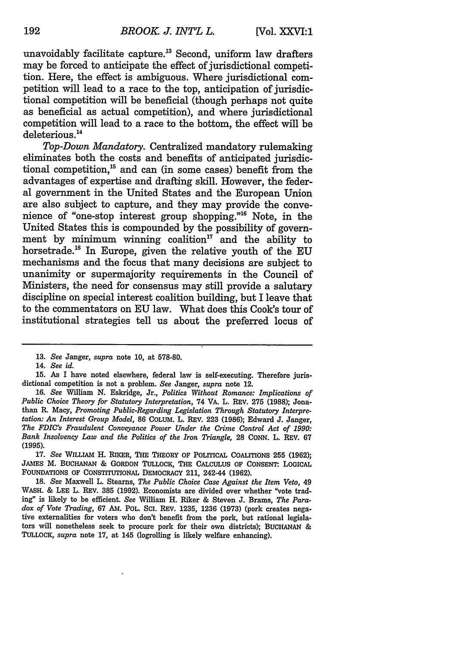unavoidably facilitate capture.<sup>13</sup> Second, uniform law drafters may be forced to anticipate the effect of jurisdictional competition. Here, the effect is ambiguous. Where jurisdictional competition will lead to a race to the top, anticipation of jurisdictional competition will be beneficial (though perhaps not quite as beneficial as actual competition), and where jurisdictional competition will lead to a race to the bottom, the effect will be deleterious.<sup>14</sup>

*Top-Down Mandatory.* Centralized mandatory rulemaking eliminates both the costs and benefits of anticipated jurisdictional competition, $^{15}$  and can (in some cases) benefit from the advantages of expertise and drafting skill. However, the federal government in the United States and the European Union are also subject to capture, and they may provide the convenience of "one-stop interest group shopping."<sup>16</sup> Note, in the United States this is compounded **by** the possibility of government by minimum winning coalition<sup>17</sup> and the ability to horsetrade.5 In Europe, given the relative youth of the **EU** mechanisms and the focus that many decisions are subject to unanimity or supermajority requirements in the Council of Ministers, the need for consensus may still provide a salutary discipline on special interest coalition building, but I leave that to the commentators on **EU** law. What does this Cook's tour of institutional strategies tell us about the preferred locus of

**14.** *See id.*

**17.** *See* **WILLIAM H. RIKER, THE** THEORY OF POLITICAL COALITIONS **255 (1962); JAMES M. BUCHANAN &** GORDON TULLOCK, THE **CALCULUS** OF CONSENT. **LOGICAL FOUNDATIONS** OF CONSTITUTIONAL DEMOCRACY 211, 242-44 **(1962).**

**18.** *See* Maxwell L. Stearns, *The Public Choice Case Against the Item Veto,* **49** WASH. **& LEE** L. REv. **385 (1992).** Economists are divided over whether "vote trading" is likely to be efficient. See William H. Riker & Steven J. Brams, The Para*dox of Vote Trading,* **67 AM.** POL. **SC.** REV. **1235, 1236 (1973)** (pork creates negative externalities for voters who don't benefit from the pork, but rational legisla**tom** will nonetheless seek to procure pork for their own districts); **BUCHANAN & TULLOCK,** *supra* note **17,** at 145 (logrolling is likely welfare enhancing).

**<sup>13.</sup>** *See* Janger, *supra* note **10,** at **578-80.**

**<sup>15.</sup>** As I have noted elsewhere, federal law is self-executing. Therefore jurisdictional competition is not a problem. *See* Janger, *supra* note 12.

**<sup>16.</sup>** *See* William **N.** Eskridge, Jr., *Politics Without Romance: Implications of Public Choice Theory for Statutory Interpretation,* 74 VA. L. REV. **275 (1988);** Jonathan R. Macy, *Promoting Public-Regarding Legislation Through Statutory Interpretation: An Interest Group Model,* **86** COLuM. L. REv. **223 (1986);** Edward **J.** Janger, *The FDIC's Fraudulent Conveyance Power Under the Crime Control Act of 1990: Bank Insolvency Law and the Politics of the Iron Triangle,* **28 CONN. L. REV. 67 (1995).**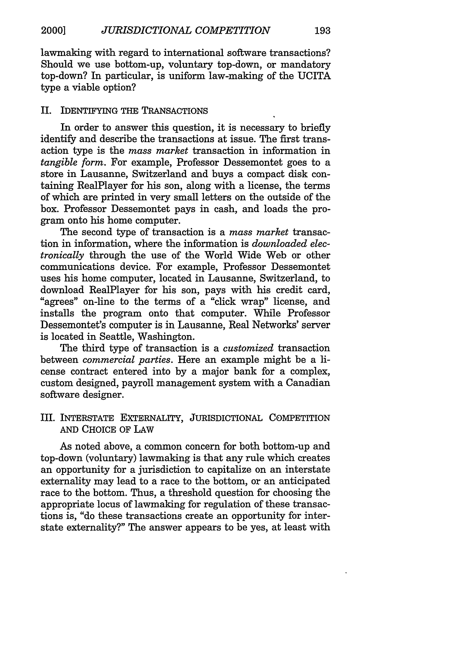lawmaking with regard to international software transactions? Should we use bottom-up, voluntary top-down, or mandatory top-down? In particular, is uniform law-making of the UCITA type a viable option?

#### II. IDENTIFYING THE TRANSACTIONS

In order to answer this question, it is necessary to briefly identify and describe the transactions at issue. The first transaction type is the *mass market* transaction in information in *tangible form.* For example, Professor Dessemontet goes to a store in Lausanne, Switzerland and buys a compact disk containing RealPlayer for his son, along with a license, the terms of which are printed in very small letters on the outside of the box. Professor Dessemontet pays in cash, and loads the program onto his home computer.

The second type of transaction is a *mass market* transaction in information, where the information is *downloaded electronically* through the use of the World Wide Web or other communications device. For example, Professor Dessemontet uses his home computer, located in Lausanne, Switzerland, to download RealPlayer for his son, pays with his credit card, "agrees" on-line to the terms of a "click wrap" license, and installs the program onto that computer. While Professor Dessemontet's computer is in Lausanne, Real Networks' server is located in Seattle, Washington.

The third type of transaction is a *customized* transaction between *commercial parties.* Here an example might be a license contract entered into by a major bank for a complex, custom designed, payroll management system with a Canadian software designer.

### III. INTERSTATE EXTERNALITY, JURISDICTIONAL COMPETITION AND CHOICE OF LAW

As noted above, a common concern for both bottom-up and top-down (voluntary) lawmaking is that any rule which creates an opportunity for a jurisdiction to capitalize on an interstate externality may lead to a race to the bottom, or an anticipated race to the bottom. Thus, a threshold question for choosing the appropriate locus of lawmaking for regulation of these transactions is, "do these transactions create an opportunity for interstate externality?" The answer appears to be yes, at least with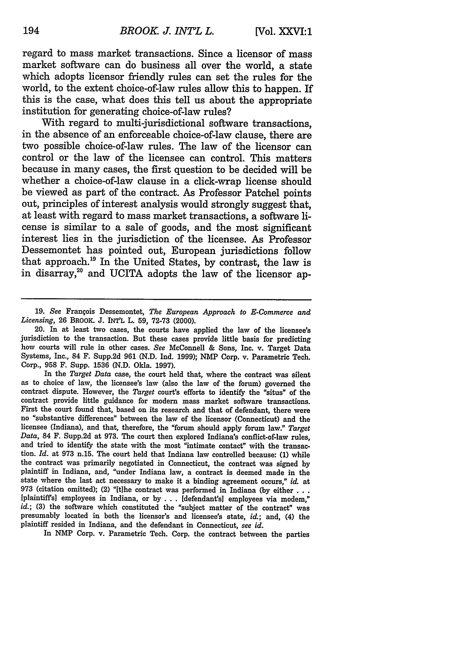regard to mass market transactions. Since a licensor of mass market software can do business all over the world, a state which adopts licensor friendly rules can set the rules for the world, to the extent choice-of-law rules allow this to happen. If this is the case, what does this tell us about the appropriate institution for generating choice-of-law rules?

With regard to multi-jurisdictional software transactions, in the absence of an enforceable choice-of-law clause, there are two possible choice-of-law rules. The law of the licensor can control or the law of the licensee can control. This matters because in many cases, the first question to be decided will be whether a choice-of-law clause in a click-wrap license should be viewed as part of the contract. As Professor Patchel points out, principles of interest analysis would strongly suggest that, at least with regard to mass market transactions, a software license is similar to a sale of goods, and the most significant interest lies in the jurisdiction of the licensee. As Professor Dessemontet has pointed out, European jurisdictions follow that approach.<sup>19</sup> In the United States, by contrast, the law is in disarray,<sup>20</sup> and UCITA adopts the law of the licensor ap-

In NMP Corp. v. Parametric Tech. Corp. the contract between the parties

<sup>19.</sup> *See* Frangois Dessemontet, *The European Approach to E-Commerce and Licensing,* **26** BROOK. **J.** INTL L. **59, 72-73** (2000).

<sup>20.</sup> In at least two cases, the courts have applied the law of the licensee's jurisdiction to the transaction. But these cases provide little basis for predicting how courts will rule in other cases. *See* McConnell & Sons, Inc. v. Target Data Systems, Inc., 84 F. Supp.2d 961 (N.D. Ind. 1999); **NMP** Corp. v. Parametric Tech. Corp., **958** F. Supp. 1536 (N.D. Okla. 1997).

In the *Target Data* case, the court held that, where the contract was silent as to choice of law, the licensee's law (also the law of the forum) governed the contract dispute. However, the *Target* court's efforts to identify the "situs" of the contract provide little guidance for modem mass market software transactions. First the court found that, based on its research and that of defendant, there were no "substantive differences" between the law of the licensor (Connecticut) and the licensee (Indiana), and that, therefore, the "forum should apply forum law." *Target Data,* 84 F. Supp.2d at 973. The court then explored Indiana's conflict-of-law rules, and tried to identify the state with the most "intimate contact" with the transaction. *Id.* at 973 n.15. The court held that Indiana law controlled because: **(1)** while the contract was primarily negotiated in Connecticut, the contract was signed by plaintiff in Indiana, and, "under Indiana law, a contract is deemed made in the state where the last act necessary to make it a binding agreement occurs," *id.* at 973 (citation omitted); (2) "[tlhe contract was performed in Indiana (by either **. . .** [plaintiffs] employees in Indiana, or by . **.** . [defendant's] employees via modem," *id.*; (3) the software which constituted the "subject matter of the contract" was presumably located in both the licensor's and licensee's state, *id.;* and, (4) the plaintiff resided in Indiana, and the defendant in Connecticut, *see id.*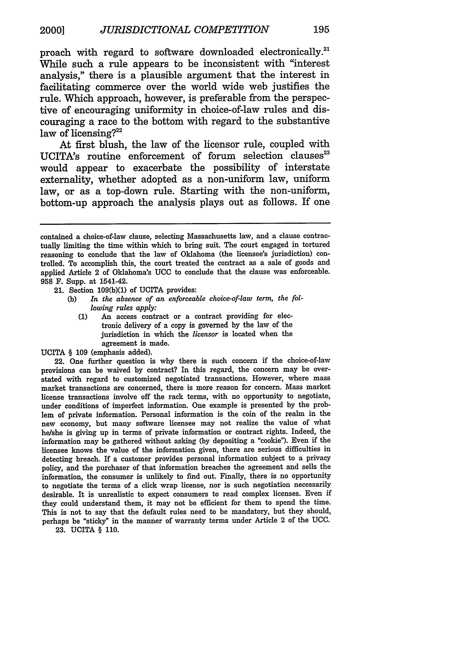proach with regard to software downloaded electronically.<sup>21</sup> While such a rule appears to be inconsistent with "interest analysis," there is a plausible argument that the interest in facilitating commerce over the world wide web justifies the rule. Which approach, however, is preferable from the perspective of encouraging uniformity in choice-of-law rules and discouraging a race to the bottom with regard to the substantive law of licensing?<sup>22</sup>

At first blush, the law of the licensor rule, coupled with UCITA's routine enforcement of forum selection clauses<sup>23</sup> would appear to exacerbate the possibility of interstate externality, whether adopted as a non-uniform law, uniform law, or as a top-down rule. Starting with the non-uniform, bottom-up approach the analysis plays out as follows. If one

- 21. Section **109(b)(1)** of UCITA provides:
	- **(b)** *In the absence of an enforceable choice-of-law term, the following rules apply:*
		- (1) An access contract or a contract providing for electronic delivery of a copy is governed by the law of the jurisdiction in which the *licensor* is located when the agreement is made.

22. One further question is why there is such concern if the choice-of-law provisions can be waived by contract? In this regard, the concern may be overstated with regard to customized negotiated transactions. However, where mass market transactions are concerned, there is more reason for concern. Mass market license transactions involve off the rack terms, with no opportunity to negotiate, under conditions of imperfect information. One example is presented by the problem of private information. Personal information is the coin of the realm in the new economy, but many software licensee may not realize the value of what he/she is giving up in terms of private information or contract rights. Indeed, the information may be gathered without asking (by depositing a "cookie"). Even if the licensee knows the value of the information given, there are serious difficulties in detecting breach. If a customer provides personal information subject to a privacy policy, and the purchaser of that information breaches the agreement and sells the information, the consumer is unlikely to find out. Finally, there is no opportunity to negotiate the terms of a click wrap license, nor is such negotiation necessarily desirable. It is unrealistic to expect consumers to read complex licenses. Even if they could understand them, it may not be efficient for them to spend the time. This is not to say that the default rules need to be mandatory, but they should, perhaps be "sticky" in the manner of warranty terms under Article 2 of the **UCC.** 23. UCITA § 110.

contained a choice-of-law clause, selecting Massachusetts law, and a clause contractually limiting the time within which to bring suit. The court engaged in tortured reasoning to conclude that the law of Oklahoma (the licensee's jurisdiction) controlled. To accomplish this, the court treated the contract as a sale of goods and applied Article 2 of Oklahoma's **UCC** to conclude that the clause was enforceable. **958** F. Supp. at 1541-42.

UCITA § 109 (emphasis added).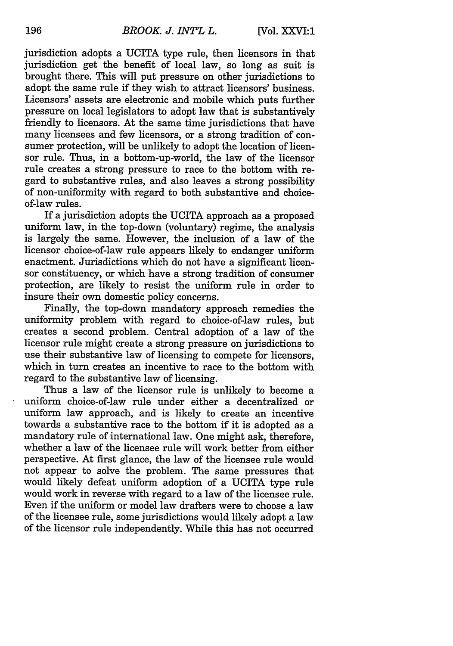jurisdiction adopts a UCITA type rule, then licensors in that jurisdiction get the benefit of local law, so long as suit is brought there. This will put pressure on other jurisdictions to adopt the same rule if they wish to attract licensors' business. Licensors' assets are electronic and mobile which puts further pressure on local legislators to adopt law that is substantively friendly to licensors. At the same time jurisdictions that have many licensees and few licensors, or a strong tradition of consumer protection, will be unlikely to adopt the location of licensor rule. Thus, in a bottom-up-world, the law of the licensor rule creates a strong pressure to race to the bottom with regard to substantive rules, and also leaves a strong possibility of non-uniformity with regard to both substantive and choiceof-law rules.

If a jurisdiction adopts the UCITA approach as a proposed uniform law, in the top-down (voluntary) regime, the analysis is largely the same. However, the inclusion of a law of the licensor choice-of-law rule appears likely to endanger uniform enactment. Jurisdictions which do not have a significant licensor constituency, or which have a strong tradition of consumer protection, are likely to resist the uniform rule in order to insure their own domestic policy concerns.

Finally, the top-down mandatory approach remedies the uniformity problem with regard to choice-of-law rules, but creates a second problem. Central adoption of a law of the licensor rule might create a strong pressure on jurisdictions to use their substantive law of licensing to compete for licensors, which in turn creates an incentive to race to the bottom with regard to the substantive law of licensing.

Thus a law of the licensor rule is unlikely to become a uniform choice-of-law rule under either a decentralized or uniform law approach, and is likely to create an incentive towards a substantive race to the bottom if it is adopted as a mandatory rule of international law. One might ask, therefore, whether a law of the licensee rule will work better from either perspective. At first glance, the law of the licensee rule would not appear to solve the problem. The same pressures that would likely defeat uniform adoption of a UCITA type rule would work in reverse with regard to a law of the licensee rule. Even if the uniform or model law drafters were to choose a law of the licensee rule, some jurisdictions would likely adopt a law of the licensor rule independently. While this has not occurred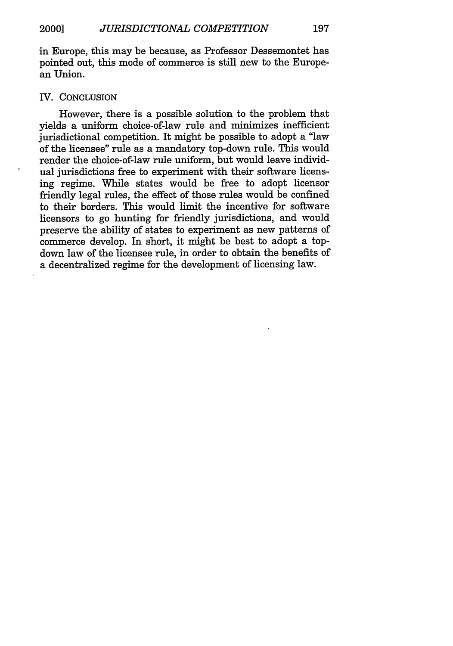in Europe, this may be because, as Professor Dessemontet has pointed out, this mode of commerce is still new to the European Union.

#### IV. CONCLUSION

However, there is a possible solution to the problem that yields a uniform choice-of-law rule and minimizes inefficient jurisdictional competition. It might be possible to adopt a "law of the licensee" rule as a mandatory top-down rule. This would render the choice-of-law rule uniform, but would leave individual jurisdictions free to experiment with their software licensing regime. While states would be free to adopt licensor friendly legal rules, the effect of those rules would be confined to their borders. This would limit the incentive for software licensors to go hunting for friendly jurisdictions, and would preserve the ability of states to experiment as new patterns of commerce develop. In short, it might be best to adopt a topdown law of the licensee rule, in order to obtain the benefits of a decentralized regime for the development of licensing law.